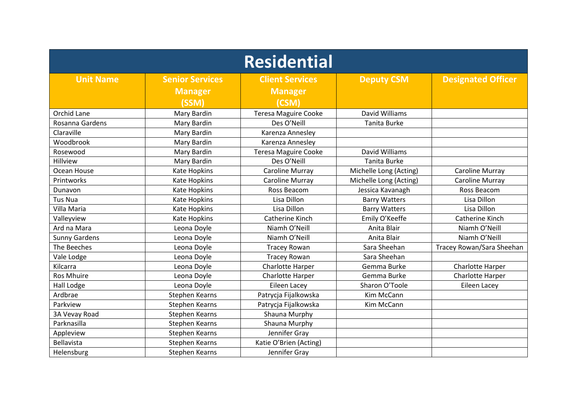| <b>Residential</b>   |                        |                             |                        |                           |  |  |
|----------------------|------------------------|-----------------------------|------------------------|---------------------------|--|--|
| <b>Unit Name</b>     | <b>Senior Services</b> | <b>Client Services</b>      | <b>Deputy CSM</b>      | <b>Designated Officer</b> |  |  |
|                      | <b>Manager</b>         | <b>Manager</b>              |                        |                           |  |  |
|                      | (SSM)                  | (CSM)                       |                        |                           |  |  |
| Orchid Lane          | Mary Bardin            | <b>Teresa Maguire Cooke</b> | David Williams         |                           |  |  |
| Rosanna Gardens      | Mary Bardin            | Des O'Neill                 | Tanita Burke           |                           |  |  |
| Claraville           | Mary Bardin            | Karenza Annesley            |                        |                           |  |  |
| Woodbrook            | Mary Bardin            | Karenza Annesley            |                        |                           |  |  |
| Rosewood             | Mary Bardin            | <b>Teresa Maguire Cooke</b> | David Williams         |                           |  |  |
| Hillview             | Mary Bardin            | Des O'Neill                 | <b>Tanita Burke</b>    |                           |  |  |
| Ocean House          | Kate Hopkins           | Caroline Murray             | Michelle Long (Acting) | <b>Caroline Murray</b>    |  |  |
| Printworks           | Kate Hopkins           | Caroline Murray             | Michelle Long (Acting) | Caroline Murray           |  |  |
| Dunavon              | Kate Hopkins           | Ross Beacom                 | Jessica Kavanagh       | Ross Beacom               |  |  |
| <b>Tus Nua</b>       | Kate Hopkins           | Lisa Dillon                 | <b>Barry Watters</b>   | Lisa Dillon               |  |  |
| Villa Maria          | <b>Kate Hopkins</b>    | Lisa Dillon                 | <b>Barry Watters</b>   | Lisa Dillon               |  |  |
| Valleyview           | Kate Hopkins           | Catherine Kinch             | Emily O'Keeffe         | Catherine Kinch           |  |  |
| Ard na Mara          | Leona Doyle            | Niamh O'Neill               | Anita Blair            | Niamh O'Neill             |  |  |
| <b>Sunny Gardens</b> | Leona Doyle            | Niamh O'Neill               | Anita Blair            | Niamh O'Neill             |  |  |
| The Beeches          | Leona Doyle            | <b>Tracey Rowan</b>         | Sara Sheehan           | Tracey Rowan/Sara Sheehan |  |  |
| Vale Lodge           | Leona Doyle            | <b>Tracey Rowan</b>         | Sara Sheehan           |                           |  |  |
| Kilcarra             | Leona Doyle            | Charlotte Harper            | Gemma Burke            | Charlotte Harper          |  |  |
| <b>Ros Mhuire</b>    | Leona Doyle            | <b>Charlotte Harper</b>     | Gemma Burke            | Charlotte Harper          |  |  |
| Hall Lodge           | Leona Doyle            | <b>Eileen Lacey</b>         | Sharon O'Toole         | Eileen Lacey              |  |  |
| Ardbrae              | <b>Stephen Kearns</b>  | Patrycja Fijalkowska        | Kim McCann             |                           |  |  |
| Parkview             | <b>Stephen Kearns</b>  | Patrycja Fijalkowska        | Kim McCann             |                           |  |  |
| 3A Vevay Road        | <b>Stephen Kearns</b>  | Shauna Murphy               |                        |                           |  |  |
| Parknasilla          | <b>Stephen Kearns</b>  | Shauna Murphy               |                        |                           |  |  |
| Appleview            | <b>Stephen Kearns</b>  | Jennifer Gray               |                        |                           |  |  |
| Bellavista           | <b>Stephen Kearns</b>  | Katie O'Brien (Acting)      |                        |                           |  |  |
| Helensburg           | <b>Stephen Kearns</b>  | Jennifer Gray               |                        |                           |  |  |